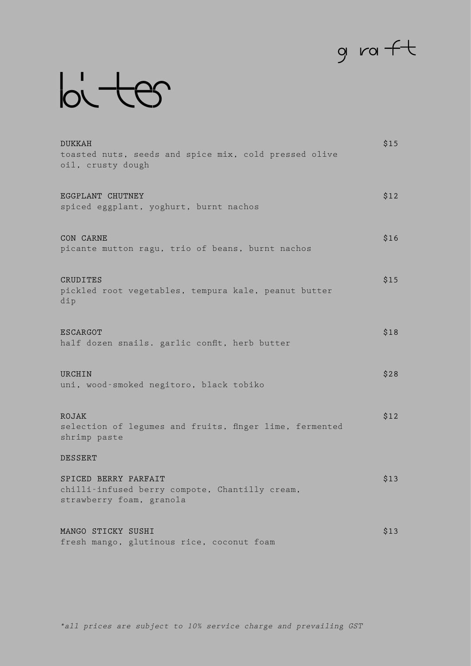## $g$  ra  $ft$

## $b$

| <b>DUKKAH</b><br>toasted nuts, seeds and spice mix, cold pressed olive<br>oil, crusty dough        | \$15 |
|----------------------------------------------------------------------------------------------------|------|
| EGGPLANT CHUTNEY<br>spiced eggplant, yoghurt, burnt nachos                                         | \$12 |
| CON CARNE<br>picante mutton ragu, trio of beans, burnt nachos                                      | \$16 |
| CRUDITES<br>pickled root vegetables, tempura kale, peanut butter<br>dip                            | \$15 |
| <b>ESCARGOT</b><br>half dozen snails. garlic confit, herb butter                                   | \$18 |
| URCHIN<br>uni, wood-smoked negitoro, black tobiko                                                  | \$28 |
| ROJAK<br>selection of legumes and fruits, finger lime, fermented<br>shrimp paste                   | \$12 |
| <b>DESSERT</b>                                                                                     |      |
| SPICED BERRY PARFAIT<br>chilli-infused berry compote, Chantilly cream,<br>strawberry foam, granola | \$13 |
| MANGO STICKY SUSHI<br>fresh mango, glutinous rice, coconut foam                                    | \$13 |